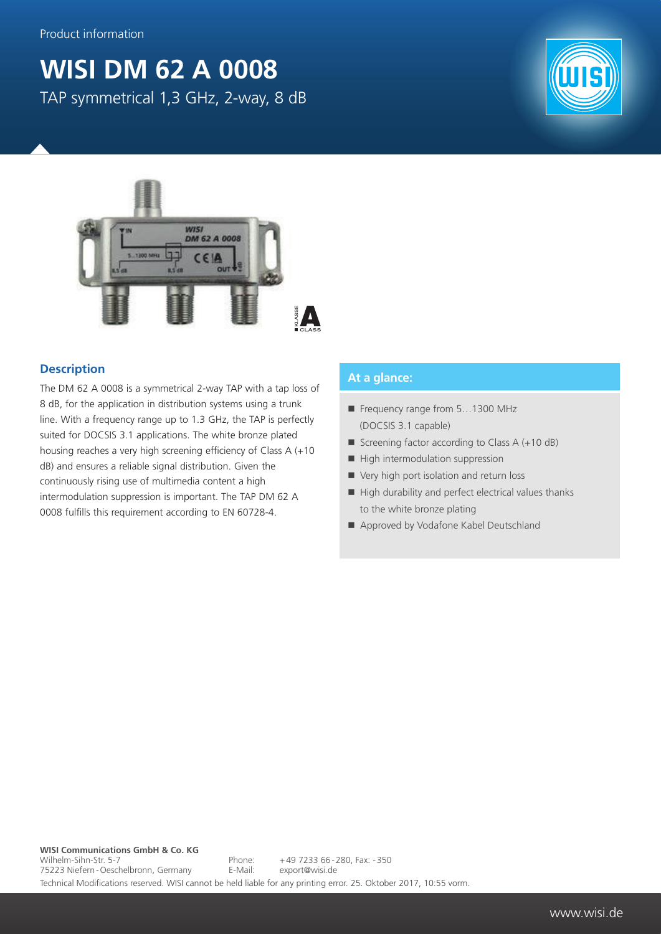## **WISI DM 62 A 0008** TAP symmetrical 1,3 GHz, 2-way, 8 dB





## **Description**

The DM 62 A 0008 is a symmetrical 2-way TAP with a tap loss of 8 dB, for the application in distribution systems using a trunk line. With a frequency range up to 1.3 GHz, the TAP is perfectly suited for DOCSIS 3.1 applications. The white bronze plated housing reaches a very high screening efficiency of Class A (+10 dB) and ensures a reliable signal distribution. Given the continuously rising use of multimedia content a high intermodulation suppression is important. The TAP DM 62 A 0008 fulfills this requirement according to EN 60728-4.

## **At a glance:**

- Frequency range from 5...1300 MHz (DOCSIS 3.1 capable)
- Screening factor according to Class  $A (+10 dB)$
- $\blacksquare$  High intermodulation suppression
- Very high port isolation and return loss
- $\blacksquare$  High durability and perfect electrical values thanks to the white bronze plating
- Approved by Vodafone Kabel Deutschland